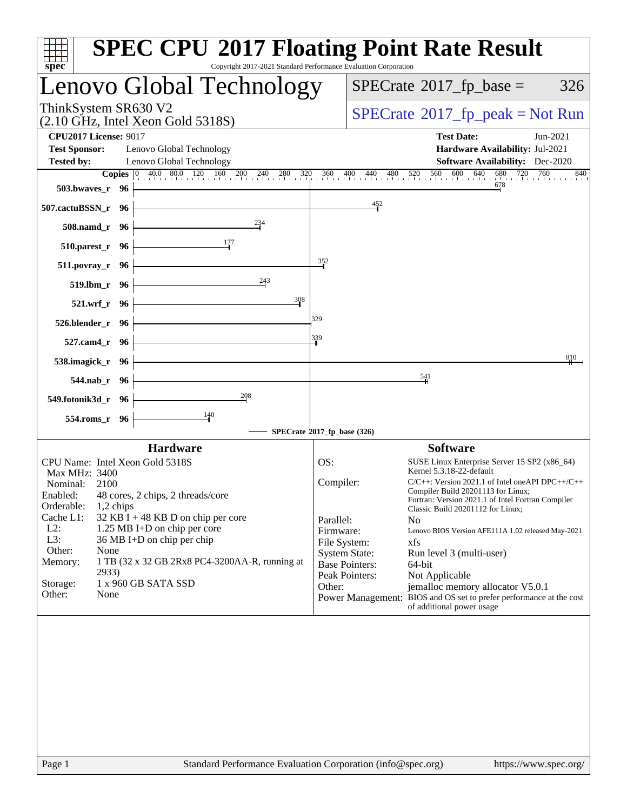| $spec^*$                                             |                    | <b>SPEC CPU®2017 Floating Point Rate Result</b><br>Copyright 2017-2021 Standard Performance Evaluation Corporation |                           |                                     |                                                                                                                              |
|------------------------------------------------------|--------------------|--------------------------------------------------------------------------------------------------------------------|---------------------------|-------------------------------------|------------------------------------------------------------------------------------------------------------------------------|
|                                                      |                    | Lenovo Global Technology                                                                                           |                           |                                     | $SPECrate^{\circ}2017$ _fp_base =<br>326                                                                                     |
| ThinkSystem SR630 V2                                 |                    | $(2.10 \text{ GHz}, \text{Intel Xeon Gold } 5318\text{S})$                                                         |                           |                                     | $SPECrate^{\circ}2017$ [p_peak = Not Run                                                                                     |
| <b>CPU2017 License: 9017</b><br><b>Test Sponsor:</b> |                    | Lenovo Global Technology                                                                                           |                           |                                     | <b>Test Date:</b><br>Jun-2021<br>Hardware Availability: Jul-2021                                                             |
| <b>Tested by:</b>                                    |                    | Lenovo Global Technology                                                                                           |                           |                                     | <b>Software Availability:</b> Dec-2020                                                                                       |
|                                                      |                    | <b>Copies</b> $\begin{bmatrix} 0 & 40.0 & 80.0 & 120 & 160 & 200 & 240 & 280 \end{bmatrix}$ 320                    |                           | $360$ $400$ $440$ $480$ $520$ $560$ | $\frac{600}{1}$ 640 680 720 760<br>840                                                                                       |
| 503.bwayes_r 96                                      |                    |                                                                                                                    |                           |                                     | 678                                                                                                                          |
| 507.cactuBSSN_r 96                                   |                    |                                                                                                                    |                           | 452                                 |                                                                                                                              |
|                                                      | 508.namd_r 96      | 234                                                                                                                |                           |                                     |                                                                                                                              |
|                                                      | 510.parest_r 96    | 177                                                                                                                |                           |                                     |                                                                                                                              |
|                                                      | $511. povray_r$ 96 |                                                                                                                    | 352                       |                                     |                                                                                                                              |
|                                                      | 519.1bm r 96       | 243                                                                                                                |                           |                                     |                                                                                                                              |
|                                                      | 521.wrf r 96       | 308                                                                                                                |                           |                                     |                                                                                                                              |
| 526.blender_r 96                                     |                    |                                                                                                                    | 329                       |                                     |                                                                                                                              |
|                                                      | 527.cam4_r 96      |                                                                                                                    | 339                       |                                     | 810                                                                                                                          |
| 538.imagick_r 96                                     |                    |                                                                                                                    |                           |                                     | $\frac{541}{5}$                                                                                                              |
|                                                      | 544.nab_r 96       | 208                                                                                                                |                           |                                     |                                                                                                                              |
| 549.fotonik3d_r 96                                   |                    | 140                                                                                                                |                           |                                     |                                                                                                                              |
|                                                      | 554.roms_r 96      | $SPECrate$ <sup>®</sup> 2017_fp_base (326)                                                                         |                           |                                     |                                                                                                                              |
|                                                      |                    | <b>Hardware</b>                                                                                                    |                           |                                     | <b>Software</b>                                                                                                              |
|                                                      |                    | CPU Name: Intel Xeon Gold 5318S                                                                                    | OS:                       |                                     | SUSE Linux Enterprise Server 15 SP2 (x86_64)                                                                                 |
| Max MHz: 3400                                        |                    |                                                                                                                    |                           |                                     | Kernel 5.3.18-22-default                                                                                                     |
| Nominal:                                             | 2100               |                                                                                                                    | Compiler:                 |                                     | $C/C++$ : Version 2021.1 of Intel one API DPC++/C++                                                                          |
| Orderable:                                           | $1,2$ chips        | Enabled: 48 cores, 2 chips, 2 threads/core                                                                         |                           |                                     | Compiler Build 20201113 for Linux;<br>Fortran: Version 2021.1 of Intel Fortran Compiler<br>Classic Build 20201112 for Linux; |
| Cache L1:                                            |                    | $32$ KB I + 48 KB D on chip per core                                                                               | Parallel:                 |                                     | N <sub>0</sub>                                                                                                               |
| $L2$ :<br>L3:                                        |                    | 1.25 MB I+D on chip per core<br>36 MB I+D on chip per chip                                                         | Firmware:<br>File System: |                                     | Lenovo BIOS Version AFE111A 1.02 released May-2021<br>xfs                                                                    |
| Other:                                               | None               |                                                                                                                    |                           | <b>System State:</b>                | Run level 3 (multi-user)                                                                                                     |
| Memory:                                              | 2933)              | 1 TB (32 x 32 GB 2Rx8 PC4-3200AA-R, running at                                                                     |                           | <b>Base Pointers:</b>               | 64-bit                                                                                                                       |
| Storage:                                             |                    | 1 x 960 GB SATA SSD                                                                                                | Other:                    | Peak Pointers:                      | Not Applicable<br>jemalloc memory allocator V5.0.1                                                                           |
| Other:                                               | None               |                                                                                                                    |                           |                                     | Power Management: BIOS and OS set to prefer performance at the cost<br>of additional power usage                             |
|                                                      |                    |                                                                                                                    |                           |                                     |                                                                                                                              |
| Page 1                                               |                    | Standard Performance Evaluation Corporation (info@spec.org)                                                        |                           |                                     | https://www.spec.org/                                                                                                        |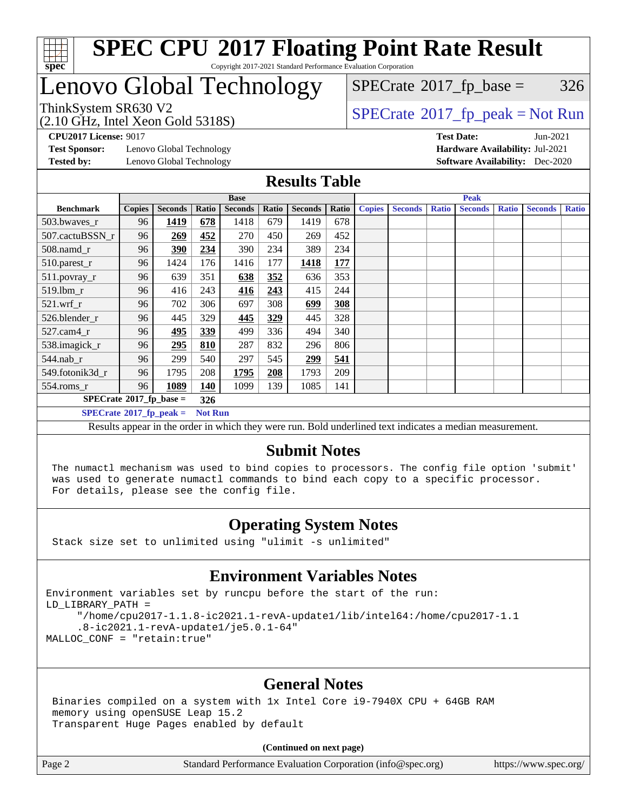

#### **[SPEC CPU](http://www.spec.org/auto/cpu2017/Docs/result-fields.html#SPECCPU2017FloatingPointRateResult)[2017 Floating Point Rate Result](http://www.spec.org/auto/cpu2017/Docs/result-fields.html#SPECCPU2017FloatingPointRateResult)** Copyright 2017-2021 Standard Performance Evaluation Corporation

### Lenovo Global Technology

 $SPECTate$ <sup>®</sup>[2017\\_fp\\_base =](http://www.spec.org/auto/cpu2017/Docs/result-fields.html#SPECrate2017fpbase) 326

(2.10 GHz, Intel Xeon Gold 5318S)

ThinkSystem SR630 V2<br>  $\begin{array}{c}\n\text{SPECTate} \textcircled{2017\_fp\_peak} = \text{Not Run} \\
\text{SPECTate} \textcircled{2017\_fp\_peak} = \text{Not Run} \\
\end{array}$ 

**[Test Sponsor:](http://www.spec.org/auto/cpu2017/Docs/result-fields.html#TestSponsor)** Lenovo Global Technology **[Hardware Availability:](http://www.spec.org/auto/cpu2017/Docs/result-fields.html#HardwareAvailability)** Jul-2021 **[Tested by:](http://www.spec.org/auto/cpu2017/Docs/result-fields.html#Testedby)** Lenovo Global Technology **[Software Availability:](http://www.spec.org/auto/cpu2017/Docs/result-fields.html#SoftwareAvailability)** Dec-2020

**[CPU2017 License:](http://www.spec.org/auto/cpu2017/Docs/result-fields.html#CPU2017License)** 9017 **[Test Date:](http://www.spec.org/auto/cpu2017/Docs/result-fields.html#TestDate)** Jun-2021

#### **[Results Table](http://www.spec.org/auto/cpu2017/Docs/result-fields.html#ResultsTable)**

|                                    | <b>Base</b>   |                |                |                |       |                |       | <b>Peak</b>   |                |              |                |              |                |              |
|------------------------------------|---------------|----------------|----------------|----------------|-------|----------------|-------|---------------|----------------|--------------|----------------|--------------|----------------|--------------|
| <b>Benchmark</b>                   | <b>Copies</b> | <b>Seconds</b> | Ratio          | <b>Seconds</b> | Ratio | <b>Seconds</b> | Ratio | <b>Copies</b> | <b>Seconds</b> | <b>Ratio</b> | <b>Seconds</b> | <b>Ratio</b> | <b>Seconds</b> | <b>Ratio</b> |
| $503.bwaves_r$                     | 96            | 1419           | 678            | 1418           | 679   | 1419           | 678   |               |                |              |                |              |                |              |
| 507.cactuBSSN r                    | 96            | 269            | 452            | 270            | 450   | 269            | 452   |               |                |              |                |              |                |              |
| $508$ .namd $_r$                   | 96            | 390            | 234            | 390            | 234   | 389            | 234   |               |                |              |                |              |                |              |
| 510.parest_r                       | 96            | 1424           | 176            | 1416           | 177   | 1418           | 177   |               |                |              |                |              |                |              |
| 511.povray_r                       | 96            | 639            | 351            | 638            | 352   | 636            | 353   |               |                |              |                |              |                |              |
| 519.lbm r                          | 96            | 416            | 243            | 416            | 243   | 415            | 244   |               |                |              |                |              |                |              |
| $521$ .wrf r                       | 96            | 702            | 306            | 697            | 308   | 699            | 308   |               |                |              |                |              |                |              |
| 526.blender r                      | 96            | 445            | 329            | 445            | 329   | 445            | 328   |               |                |              |                |              |                |              |
| $527$ .cam $4r$                    | 96            | 495            | 339            | 499            | 336   | 494            | 340   |               |                |              |                |              |                |              |
| 538.imagick_r                      | 96            | 295            | 810            | 287            | 832   | 296            | 806   |               |                |              |                |              |                |              |
| $544$ .nab r                       | 96            | 299            | 540            | 297            | 545   | 299            | 541   |               |                |              |                |              |                |              |
| 549.fotonik3d r                    | 96            | 1795           | 208            | 1795           | 208   | 1793           | 209   |               |                |              |                |              |                |              |
| $554$ .roms_r                      | 96            | 1089           | 140            | 1099           | 139   | 1085           | 141   |               |                |              |                |              |                |              |
| $SPECrate^{\otimes}2017$ fp base = |               |                | 326            |                |       |                |       |               |                |              |                |              |                |              |
| $SPECrate^{\circ}2017$ fp peak =   |               |                | <b>Not Run</b> |                |       |                |       |               |                |              |                |              |                |              |

Results appear in the [order in which they were run](http://www.spec.org/auto/cpu2017/Docs/result-fields.html#RunOrder). Bold underlined text [indicates a median measurement](http://www.spec.org/auto/cpu2017/Docs/result-fields.html#Median).

#### **[Submit Notes](http://www.spec.org/auto/cpu2017/Docs/result-fields.html#SubmitNotes)**

 The numactl mechanism was used to bind copies to processors. The config file option 'submit' was used to generate numactl commands to bind each copy to a specific processor. For details, please see the config file.

#### **[Operating System Notes](http://www.spec.org/auto/cpu2017/Docs/result-fields.html#OperatingSystemNotes)**

Stack size set to unlimited using "ulimit -s unlimited"

#### **[Environment Variables Notes](http://www.spec.org/auto/cpu2017/Docs/result-fields.html#EnvironmentVariablesNotes)**

```
Environment variables set by runcpu before the start of the run:
LD_LIBRARY_PATH =
      "/home/cpu2017-1.1.8-ic2021.1-revA-update1/lib/intel64:/home/cpu2017-1.1
      .8-ic2021.1-revA-update1/je5.0.1-64"
MALLOC_CONF = "retain:true"
```
#### **[General Notes](http://www.spec.org/auto/cpu2017/Docs/result-fields.html#GeneralNotes)**

 Binaries compiled on a system with 1x Intel Core i9-7940X CPU + 64GB RAM memory using openSUSE Leap 15.2 Transparent Huge Pages enabled by default

**(Continued on next page)**

Page 2 Standard Performance Evaluation Corporation [\(info@spec.org\)](mailto:info@spec.org) <https://www.spec.org/>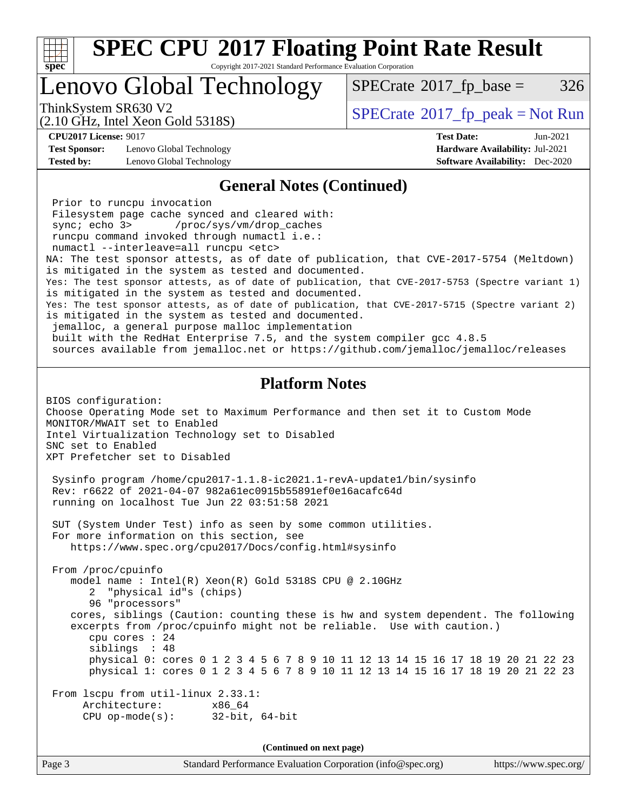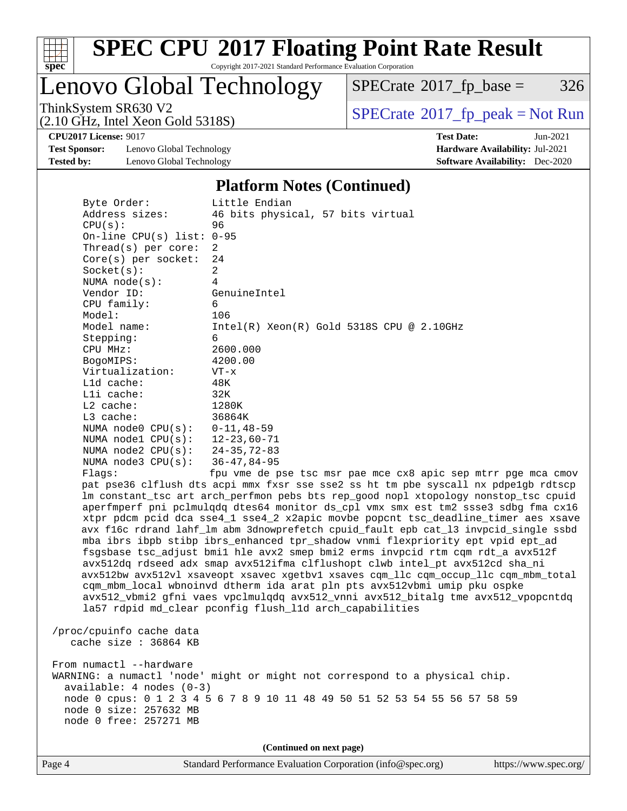

Copyright 2017-2021 Standard Performance Evaluation Corporation

Lenovo Global Technology

 $SPECTate$ <sup>®</sup>[2017\\_fp\\_base =](http://www.spec.org/auto/cpu2017/Docs/result-fields.html#SPECrate2017fpbase) 326

(2.10 GHz, Intel Xeon Gold 5318S)

ThinkSystem SR630 V2<br>  $\begin{array}{c}\n\text{SPECrate} \textcirc 2017\_fp\_peak = Not Run \\
\text{SPECrate} \textcirc 2017\_fp\_peak = Not Run\n\end{array}$  $\begin{array}{c}\n\text{SPECrate} \textcirc 2017\_fp\_peak = Not Run \\
\text{SPECrate} \textcirc 2017\_fp\_peak = Not Run\n\end{array}$  $\begin{array}{c}\n\text{SPECrate} \textcirc 2017\_fp\_peak = Not Run \\
\text{SPECrate} \textcirc 2017\_fp\_peak = Not Run\n\end{array}$ 

**[Test Sponsor:](http://www.spec.org/auto/cpu2017/Docs/result-fields.html#TestSponsor)** Lenovo Global Technology **[Hardware Availability:](http://www.spec.org/auto/cpu2017/Docs/result-fields.html#HardwareAvailability)** Jul-2021 **[Tested by:](http://www.spec.org/auto/cpu2017/Docs/result-fields.html#Testedby)** Lenovo Global Technology **[Software Availability:](http://www.spec.org/auto/cpu2017/Docs/result-fields.html#SoftwareAvailability)** Dec-2020

**[CPU2017 License:](http://www.spec.org/auto/cpu2017/Docs/result-fields.html#CPU2017License)** 9017 **[Test Date:](http://www.spec.org/auto/cpu2017/Docs/result-fields.html#TestDate)** Jun-2021

#### **[Platform Notes \(Continued\)](http://www.spec.org/auto/cpu2017/Docs/result-fields.html#PlatformNotes)**

 Byte Order: Little Endian Address sizes: 46 bits physical, 57 bits virtual CPU(s): 96 On-line CPU(s) list: 0-95 Thread(s) per core: 2 Core(s) per socket: 24  $Socket(s):$  NUMA node(s): 4 Vendor ID: GenuineIntel CPU family: 6 Model: 106 Model name: Intel(R) Xeon(R) Gold 5318S CPU @ 2.10GHz Stepping: 6 CPU MHz: 2600.000 BogoMIPS: 4200.00 Virtualization: VT-x L1d cache: 48K L1i cache: 32K L2 cache: 1280K L3 cache: 36864K NUMA node0 CPU(s): 0-11,48-59 NUMA node1 CPU(s): 12-23,60-71 NUMA node2 CPU(s): 24-35,72-83 NUMA node3 CPU(s): 36-47,84-95 Flags: fpu vme de pse tsc msr pae mce cx8 apic sep mtrr pge mca cmov pat pse36 clflush dts acpi mmx fxsr sse sse2 ss ht tm pbe syscall nx pdpe1gb rdtscp lm constant\_tsc art arch\_perfmon pebs bts rep\_good nopl xtopology nonstop\_tsc cpuid aperfmperf pni pclmulqdq dtes64 monitor ds\_cpl vmx smx est tm2 ssse3 sdbg fma cx16 xtpr pdcm pcid dca sse4\_1 sse4\_2 x2apic movbe popcnt tsc\_deadline\_timer aes xsave avx f16c rdrand lahf\_lm abm 3dnowprefetch cpuid\_fault epb cat\_l3 invpcid\_single ssbd mba ibrs ibpb stibp ibrs\_enhanced tpr\_shadow vnmi flexpriority ept vpid ept\_ad fsgsbase tsc\_adjust bmi1 hle avx2 smep bmi2 erms invpcid rtm cqm rdt\_a avx512f avx512dq rdseed adx smap avx512ifma clflushopt clwb intel\_pt avx512cd sha\_ni avx512bw avx512vl xsaveopt xsavec xgetbv1 xsaves cqm\_llc cqm\_occup\_llc cqm\_mbm\_total cqm\_mbm\_local wbnoinvd dtherm ida arat pln pts avx512vbmi umip pku ospke avx512\_vbmi2 gfni vaes vpclmulqdq avx512\_vnni avx512\_bitalg tme avx512\_vpopcntdq la57 rdpid md\_clear pconfig flush\_l1d arch\_capabilities /proc/cpuinfo cache data cache size : 36864 KB From numactl --hardware WARNING: a numactl 'node' might or might not correspond to a physical chip. available: 4 nodes (0-3) node 0 cpus: 0 1 2 3 4 5 6 7 8 9 10 11 48 49 50 51 52 53 54 55 56 57 58 59 node 0 size: 257632 MB node 0 free: 257271 MB **(Continued on next page)**

Page 4 Standard Performance Evaluation Corporation [\(info@spec.org\)](mailto:info@spec.org) <https://www.spec.org/>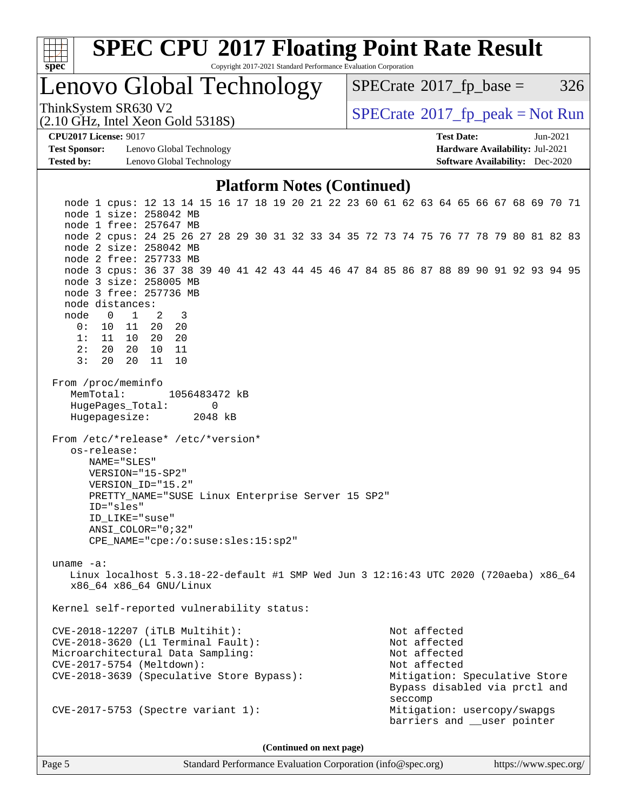| ч<br>e<br>L<br>Q |  |  |  |  |  |  |  |  |
|------------------|--|--|--|--|--|--|--|--|

Copyright 2017-2021 Standard Performance Evaluation Corporation

Lenovo Global Technology

 $SPECTate$ <sup>®</sup>[2017\\_fp\\_base =](http://www.spec.org/auto/cpu2017/Docs/result-fields.html#SPECrate2017fpbase) 326

(2.10 GHz, Intel Xeon Gold 5318S)

ThinkSystem SR630 V2<br>
(2.10 GHz, Intel Xeon Gold 53188)<br> [SPECrate](http://www.spec.org/auto/cpu2017/Docs/result-fields.html#SPECrate2017fppeak)®[2017\\_fp\\_peak = N](http://www.spec.org/auto/cpu2017/Docs/result-fields.html#SPECrate2017fppeak)ot Run

**[Test Sponsor:](http://www.spec.org/auto/cpu2017/Docs/result-fields.html#TestSponsor)** Lenovo Global Technology **[Hardware Availability:](http://www.spec.org/auto/cpu2017/Docs/result-fields.html#HardwareAvailability)** Jul-2021 **[Tested by:](http://www.spec.org/auto/cpu2017/Docs/result-fields.html#Testedby)** Lenovo Global Technology **[Software Availability:](http://www.spec.org/auto/cpu2017/Docs/result-fields.html#SoftwareAvailability)** Dec-2020

**[CPU2017 License:](http://www.spec.org/auto/cpu2017/Docs/result-fields.html#CPU2017License)** 9017 **[Test Date:](http://www.spec.org/auto/cpu2017/Docs/result-fields.html#TestDate)** Jun-2021

#### **[Platform Notes \(Continued\)](http://www.spec.org/auto/cpu2017/Docs/result-fields.html#PlatformNotes)**

 node 1 cpus: 12 13 14 15 16 17 18 19 20 21 22 23 60 61 62 63 64 65 66 67 68 69 70 71 node 1 size: 258042 MB node 1 free: 257647 MB node 2 cpus: 24 25 26 27 28 29 30 31 32 33 34 35 72 73 74 75 76 77 78 79 80 81 82 83 node 2 size: 258042 MB node 2 free: 257733 MB node 3 cpus: 36 37 38 39 40 41 42 43 44 45 46 47 84 85 86 87 88 89 90 91 92 93 94 95 node 3 size: 258005 MB node 3 free: 257736 MB node distances: node 0 1 2 3 0: 10 11 20 20 1: 11 10 20 20 2: 20 20 10 11 3: 20 20 11 10 From /proc/meminfo MemTotal: 1056483472 kB HugePages\_Total: 0 Hugepagesize: 2048 kB From /etc/\*release\* /etc/\*version\* os-release: NAME="SLES" VERSION="15-SP2" VERSION\_ID="15.2" PRETTY\_NAME="SUSE Linux Enterprise Server 15 SP2" ID="sles" ID\_LIKE="suse" ANSI\_COLOR="0;32" CPE\_NAME="cpe:/o:suse:sles:15:sp2" uname -a: Linux localhost 5.3.18-22-default #1 SMP Wed Jun 3 12:16:43 UTC 2020 (720aeba) x86\_64 x86\_64 x86\_64 GNU/Linux Kernel self-reported vulnerability status: CVE-2018-12207 (iTLB Multihit): Not affected CVE-2018-3620 (L1 Terminal Fault): Not affected Microarchitectural Data Sampling: Not affected CVE-2017-5754 (Meltdown): Not affected CVE-2018-3639 (Speculative Store Bypass): Mitigation: Speculative Store Bypass disabled via prctl and seccomplex and the control of the control of the control of the control of the control of the control of the control of the control of the control of the control of the control of the control of the control of the control CVE-2017-5753 (Spectre variant 1): Mitigation: usercopy/swapgs barriers and \_\_user pointer

**(Continued on next page)**

Page 5 Standard Performance Evaluation Corporation [\(info@spec.org\)](mailto:info@spec.org) <https://www.spec.org/>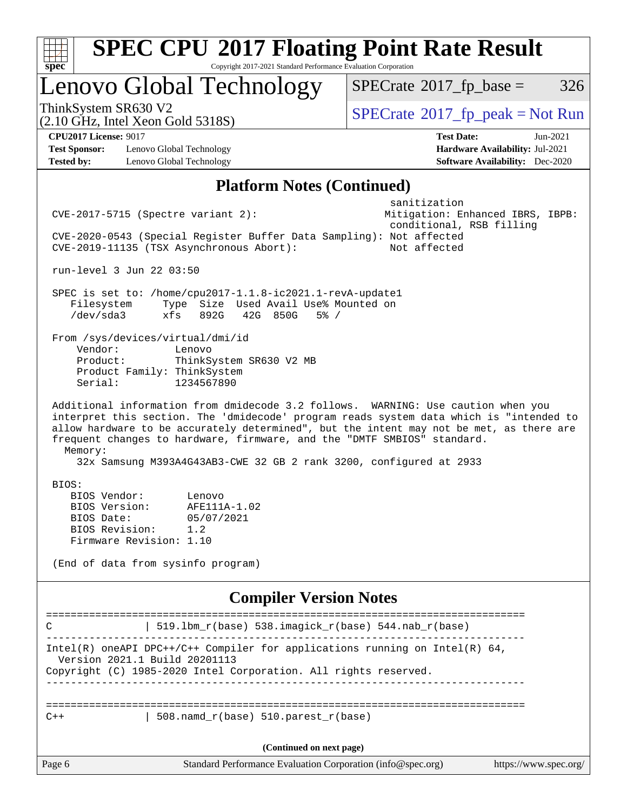| <b>SPEC CPU®2017 Floating Point Rate Result</b><br>Copyright 2017-2021 Standard Performance Evaluation Corporation<br>$spec^*$                                                                                                                                                                                                                                                                                                                                                                                                                                                                                       |                                                                                                              |
|----------------------------------------------------------------------------------------------------------------------------------------------------------------------------------------------------------------------------------------------------------------------------------------------------------------------------------------------------------------------------------------------------------------------------------------------------------------------------------------------------------------------------------------------------------------------------------------------------------------------|--------------------------------------------------------------------------------------------------------------|
| Lenovo Global Technology                                                                                                                                                                                                                                                                                                                                                                                                                                                                                                                                                                                             | $SPECrate^{\circledast}2017$ _fp_base =<br>326                                                               |
| ThinkSystem SR630 V2<br>$(2.10 \text{ GHz}, \text{Intel Xeon Gold } 5318\text{S})$                                                                                                                                                                                                                                                                                                                                                                                                                                                                                                                                   | $SPECTate$ <sup>®</sup> 2017_fp_peak = Not Run                                                               |
| <b>CPU2017 License: 9017</b><br><b>Test Sponsor:</b><br>Lenovo Global Technology<br><b>Tested by:</b><br>Lenovo Global Technology                                                                                                                                                                                                                                                                                                                                                                                                                                                                                    | <b>Test Date:</b><br>$Jun-2021$<br>Hardware Availability: Jul-2021<br><b>Software Availability:</b> Dec-2020 |
| <b>Platform Notes (Continued)</b>                                                                                                                                                                                                                                                                                                                                                                                                                                                                                                                                                                                    |                                                                                                              |
| $CVE-2017-5715$ (Spectre variant 2):<br>CVE-2020-0543 (Special Register Buffer Data Sampling): Not affected<br>CVE-2019-11135 (TSX Asynchronous Abort):                                                                                                                                                                                                                                                                                                                                                                                                                                                              | sanitization<br>Mitigation: Enhanced IBRS, IBPB:<br>conditional, RSB filling<br>Not affected                 |
| run-level 3 Jun 22 03:50<br>SPEC is set to: /home/cpu2017-1.1.8-ic2021.1-revA-update1<br>Type Size Used Avail Use% Mounted on<br>Filesystem<br>/dev/sda3<br>xfs<br>892G<br>42G 850G<br>5% /<br>From /sys/devices/virtual/dmi/id<br>Vendor:<br>Lenovo<br>ThinkSystem SR630 V2 MB<br>Product:                                                                                                                                                                                                                                                                                                                          |                                                                                                              |
| Product Family: ThinkSystem<br>1234567890<br>Serial:<br>Additional information from dmidecode 3.2 follows. WARNING: Use caution when you<br>interpret this section. The 'dmidecode' program reads system data which is "intended to<br>allow hardware to be accurately determined", but the intent may not be met, as there are<br>frequent changes to hardware, firmware, and the "DMTF SMBIOS" standard.<br>Memory:<br>32x Samsung M393A4G43AB3-CWE 32 GB 2 rank 3200, configured at 2933<br>BIOS:<br>BIOS Vendor:<br>Lenovo<br>BIOS Version:<br>AFE111A-1.02<br>BIOS Date:<br>05/07/2021<br>BIOS Revision:<br>1.2 |                                                                                                              |
| Firmware Revision: 1.10<br>(End of data from sysinfo program)                                                                                                                                                                                                                                                                                                                                                                                                                                                                                                                                                        |                                                                                                              |
| <b>Compiler Version Notes</b>                                                                                                                                                                                                                                                                                                                                                                                                                                                                                                                                                                                        |                                                                                                              |
| 519.1bm_r(base) 538.imagick_r(base) 544.nab_r(base)<br>C                                                                                                                                                                                                                                                                                                                                                                                                                                                                                                                                                             |                                                                                                              |
| Intel(R) oneAPI DPC++/C++ Compiler for applications running on Intel(R) $64$ ,<br>Version 2021.1 Build 20201113<br>Copyright (C) 1985-2020 Intel Corporation. All rights reserved.                                                                                                                                                                                                                                                                                                                                                                                                                                   |                                                                                                              |
| $508.namd_r(base) 510.parest_r(base)$<br>$C++$                                                                                                                                                                                                                                                                                                                                                                                                                                                                                                                                                                       |                                                                                                              |
| (Continued on next page)                                                                                                                                                                                                                                                                                                                                                                                                                                                                                                                                                                                             |                                                                                                              |
| Page 6<br>Standard Performance Evaluation Corporation (info@spec.org)                                                                                                                                                                                                                                                                                                                                                                                                                                                                                                                                                | https://www.spec.org/                                                                                        |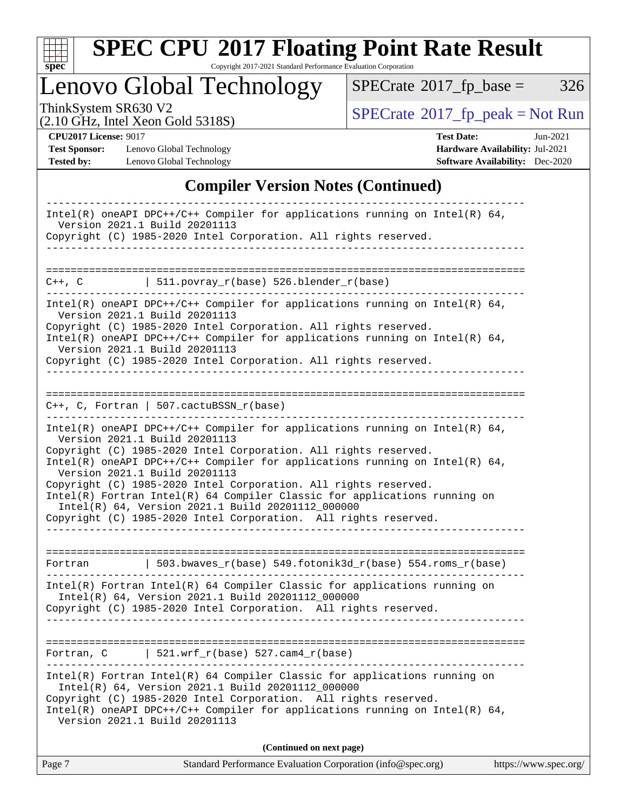

Copyright 2017-2021 Standard Performance Evaluation Corporation

Lenovo Global Technology

 $SPECTate@2017_fp\_base = 326$ 

(2.10 GHz, Intel Xeon Gold 5318S)

ThinkSystem SR630 V2<br>
(2.10 GHz, Intel Xeon Gold 5318S)<br> [SPECrate](http://www.spec.org/auto/cpu2017/Docs/result-fields.html#SPECrate2017fppeak)®[2017\\_fp\\_peak = N](http://www.spec.org/auto/cpu2017/Docs/result-fields.html#SPECrate2017fppeak)ot Run

**[Test Sponsor:](http://www.spec.org/auto/cpu2017/Docs/result-fields.html#TestSponsor)** Lenovo Global Technology **[Hardware Availability:](http://www.spec.org/auto/cpu2017/Docs/result-fields.html#HardwareAvailability)** Jul-2021 **[Tested by:](http://www.spec.org/auto/cpu2017/Docs/result-fields.html#Testedby)** Lenovo Global Technology **[Software Availability:](http://www.spec.org/auto/cpu2017/Docs/result-fields.html#SoftwareAvailability)** Dec-2020

**[CPU2017 License:](http://www.spec.org/auto/cpu2017/Docs/result-fields.html#CPU2017License)** 9017 **[Test Date:](http://www.spec.org/auto/cpu2017/Docs/result-fields.html#TestDate)** Jun-2021

#### **[Compiler Version Notes \(Continued\)](http://www.spec.org/auto/cpu2017/Docs/result-fields.html#CompilerVersionNotes)**

| Intel(R) oneAPI DPC++/C++ Compiler for applications running on Intel(R) $64$ ,                                                                                                                      |
|-----------------------------------------------------------------------------------------------------------------------------------------------------------------------------------------------------|
| Version 2021.1 Build 20201113                                                                                                                                                                       |
| Copyright (C) 1985-2020 Intel Corporation. All rights reserved.                                                                                                                                     |
|                                                                                                                                                                                                     |
| 511.povray_r(base) 526.blender_r(base)<br>$C++$ , $C$                                                                                                                                               |
|                                                                                                                                                                                                     |
| Intel(R) oneAPI DPC++/C++ Compiler for applications running on Intel(R) $64$ ,<br>Version 2021.1 Build 20201113                                                                                     |
| Copyright (C) 1985-2020 Intel Corporation. All rights reserved.<br>Intel(R) oneAPI DPC++/C++ Compiler for applications running on Intel(R) $64$ ,                                                   |
| Version 2021.1 Build 20201113<br>Copyright (C) 1985-2020 Intel Corporation. All rights reserved.                                                                                                    |
|                                                                                                                                                                                                     |
|                                                                                                                                                                                                     |
| $C++$ , C, Fortran   507.cactuBSSN_r(base)                                                                                                                                                          |
| $Intel(R)$ oneAPI DPC++/C++ Compiler for applications running on Intel(R) 64,<br>Version 2021.1 Build 20201113                                                                                      |
| Copyright (C) 1985-2020 Intel Corporation. All rights reserved.                                                                                                                                     |
| Intel(R) oneAPI DPC++/C++ Compiler for applications running on Intel(R) $64$ ,<br>Version 2021.1 Build 20201113                                                                                     |
| Copyright (C) 1985-2020 Intel Corporation. All rights reserved.<br>Intel(R) Fortran Intel(R) 64 Compiler Classic for applications running on                                                        |
| Intel(R) 64, Version 2021.1 Build 20201112_000000                                                                                                                                                   |
| Copyright (C) 1985-2020 Intel Corporation. All rights reserved.                                                                                                                                     |
|                                                                                                                                                                                                     |
| 503.bwaves_r(base) 549.fotonik3d_r(base) 554.roms_r(base)<br>Fortran                                                                                                                                |
| Intel(R) Fortran Intel(R) 64 Compiler Classic for applications running on<br>Intel(R) 64, Version 2021.1 Build 20201112_000000                                                                      |
| Copyright (C) 1985-2020 Intel Corporation. All rights reserved.                                                                                                                                     |
|                                                                                                                                                                                                     |
| $521.wrf_r(base) 527.cam4_r(base)$<br>Fortran, C                                                                                                                                                    |
|                                                                                                                                                                                                     |
| $Intel(R)$ Fortran Intel(R) 64 Compiler Classic for applications running on<br>Intel(R) 64, Version 2021.1 Build 20201112_000000<br>Copyright (C) 1985-2020 Intel Corporation. All rights reserved. |
| Intel(R) oneAPI DPC++/C++ Compiler for applications running on Intel(R) $64$ ,<br>Version 2021.1 Build 20201113                                                                                     |
| (Continued on next page)                                                                                                                                                                            |
|                                                                                                                                                                                                     |

| Page 7<br>Standard Performance Evaluation Corporation (info@spec.org)<br>https://www.spec.org/ |
|------------------------------------------------------------------------------------------------|
|                                                                                                |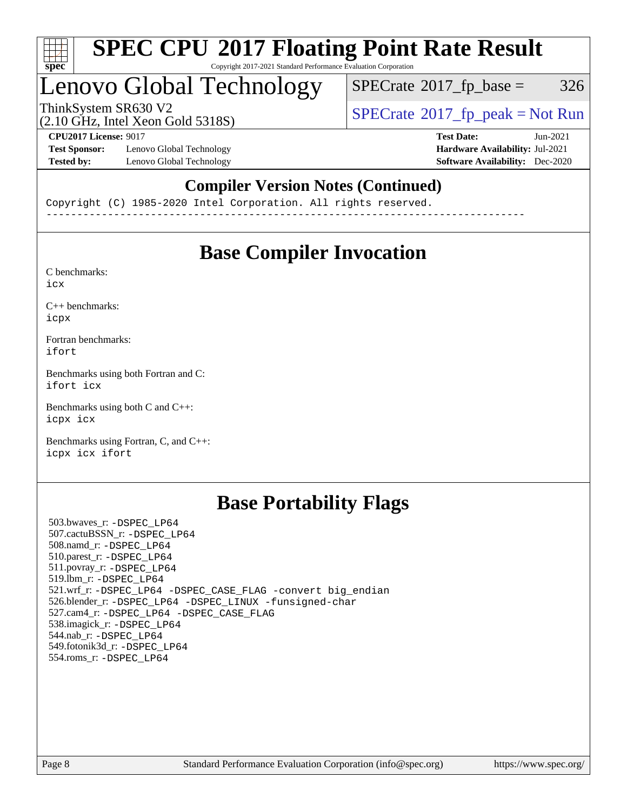

#### **[SPEC CPU](http://www.spec.org/auto/cpu2017/Docs/result-fields.html#SPECCPU2017FloatingPointRateResult)[2017 Floating Point Rate Result](http://www.spec.org/auto/cpu2017/Docs/result-fields.html#SPECCPU2017FloatingPointRateResult)** Copyright 2017-2021 Standard Performance Evaluation Corporation

### Lenovo Global Technology

 $SPECTate$ <sup>®</sup>[2017\\_fp\\_base =](http://www.spec.org/auto/cpu2017/Docs/result-fields.html#SPECrate2017fpbase) 326

(2.10 GHz, Intel Xeon Gold 5318S)

ThinkSystem SR630 V2<br>  $\begin{array}{c}\n\text{SPECrate} \textcirc 2017\_fp\_peak = Not Run \\
\text{SPECrate} \textcirc 2017\_fp\_peak = Not Run\n\end{array}$  $\begin{array}{c}\n\text{SPECrate} \textcirc 2017\_fp\_peak = Not Run \\
\text{SPECrate} \textcirc 2017\_fp\_peak = Not Run\n\end{array}$  $\begin{array}{c}\n\text{SPECrate} \textcirc 2017\_fp\_peak = Not Run \\
\text{SPECrate} \textcirc 2017\_fp\_peak = Not Run\n\end{array}$ 

**[Test Sponsor:](http://www.spec.org/auto/cpu2017/Docs/result-fields.html#TestSponsor)** Lenovo Global Technology **[Hardware Availability:](http://www.spec.org/auto/cpu2017/Docs/result-fields.html#HardwareAvailability)** Jul-2021 **[Tested by:](http://www.spec.org/auto/cpu2017/Docs/result-fields.html#Testedby)** Lenovo Global Technology **[Software Availability:](http://www.spec.org/auto/cpu2017/Docs/result-fields.html#SoftwareAvailability)** Dec-2020

**[CPU2017 License:](http://www.spec.org/auto/cpu2017/Docs/result-fields.html#CPU2017License)** 9017 **[Test Date:](http://www.spec.org/auto/cpu2017/Docs/result-fields.html#TestDate)** Jun-2021

### **[Compiler Version Notes \(Continued\)](http://www.spec.org/auto/cpu2017/Docs/result-fields.html#CompilerVersionNotes)**

Copyright (C) 1985-2020 Intel Corporation. All rights reserved. ------------------------------------------------------------------------------

### **[Base Compiler Invocation](http://www.spec.org/auto/cpu2017/Docs/result-fields.html#BaseCompilerInvocation)**

[C benchmarks](http://www.spec.org/auto/cpu2017/Docs/result-fields.html#Cbenchmarks): [icx](http://www.spec.org/cpu2017/results/res2021q3/cpu2017-20210705-28050.flags.html#user_CCbase_intel_icx_fe2d28d19ae2a5db7c42fe0f2a2aed77cb715edd4aeb23434404a8be6683fe239869bb6ca8154ca98265c2e3b9226a719a0efe2953a4a7018c379b7010ccf087)

[C++ benchmarks:](http://www.spec.org/auto/cpu2017/Docs/result-fields.html#CXXbenchmarks) [icpx](http://www.spec.org/cpu2017/results/res2021q3/cpu2017-20210705-28050.flags.html#user_CXXbase_intel_icpx_1e918ed14c436bf4b9b7c8bcdd51d4539fc71b3df010bd1e9f8732d9c34c2b2914e48204a846820f3c0ebb4095dea797a5c30b458ac0b6dffac65d78f781f5ca)

[Fortran benchmarks](http://www.spec.org/auto/cpu2017/Docs/result-fields.html#Fortranbenchmarks): [ifort](http://www.spec.org/cpu2017/results/res2021q3/cpu2017-20210705-28050.flags.html#user_FCbase_intel_ifort_8111460550e3ca792625aed983ce982f94888b8b503583aa7ba2b8303487b4d8a21a13e7191a45c5fd58ff318f48f9492884d4413fa793fd88dd292cad7027ca)

[Benchmarks using both Fortran and C](http://www.spec.org/auto/cpu2017/Docs/result-fields.html#BenchmarksusingbothFortranandC): [ifort](http://www.spec.org/cpu2017/results/res2021q3/cpu2017-20210705-28050.flags.html#user_CC_FCbase_intel_ifort_8111460550e3ca792625aed983ce982f94888b8b503583aa7ba2b8303487b4d8a21a13e7191a45c5fd58ff318f48f9492884d4413fa793fd88dd292cad7027ca) [icx](http://www.spec.org/cpu2017/results/res2021q3/cpu2017-20210705-28050.flags.html#user_CC_FCbase_intel_icx_fe2d28d19ae2a5db7c42fe0f2a2aed77cb715edd4aeb23434404a8be6683fe239869bb6ca8154ca98265c2e3b9226a719a0efe2953a4a7018c379b7010ccf087)

[Benchmarks using both C and C++](http://www.spec.org/auto/cpu2017/Docs/result-fields.html#BenchmarksusingbothCandCXX): [icpx](http://www.spec.org/cpu2017/results/res2021q3/cpu2017-20210705-28050.flags.html#user_CC_CXXbase_intel_icpx_1e918ed14c436bf4b9b7c8bcdd51d4539fc71b3df010bd1e9f8732d9c34c2b2914e48204a846820f3c0ebb4095dea797a5c30b458ac0b6dffac65d78f781f5ca) [icx](http://www.spec.org/cpu2017/results/res2021q3/cpu2017-20210705-28050.flags.html#user_CC_CXXbase_intel_icx_fe2d28d19ae2a5db7c42fe0f2a2aed77cb715edd4aeb23434404a8be6683fe239869bb6ca8154ca98265c2e3b9226a719a0efe2953a4a7018c379b7010ccf087)

[Benchmarks using Fortran, C, and C++:](http://www.spec.org/auto/cpu2017/Docs/result-fields.html#BenchmarksusingFortranCandCXX) [icpx](http://www.spec.org/cpu2017/results/res2021q3/cpu2017-20210705-28050.flags.html#user_CC_CXX_FCbase_intel_icpx_1e918ed14c436bf4b9b7c8bcdd51d4539fc71b3df010bd1e9f8732d9c34c2b2914e48204a846820f3c0ebb4095dea797a5c30b458ac0b6dffac65d78f781f5ca) [icx](http://www.spec.org/cpu2017/results/res2021q3/cpu2017-20210705-28050.flags.html#user_CC_CXX_FCbase_intel_icx_fe2d28d19ae2a5db7c42fe0f2a2aed77cb715edd4aeb23434404a8be6683fe239869bb6ca8154ca98265c2e3b9226a719a0efe2953a4a7018c379b7010ccf087) [ifort](http://www.spec.org/cpu2017/results/res2021q3/cpu2017-20210705-28050.flags.html#user_CC_CXX_FCbase_intel_ifort_8111460550e3ca792625aed983ce982f94888b8b503583aa7ba2b8303487b4d8a21a13e7191a45c5fd58ff318f48f9492884d4413fa793fd88dd292cad7027ca)

### **[Base Portability Flags](http://www.spec.org/auto/cpu2017/Docs/result-fields.html#BasePortabilityFlags)**

 503.bwaves\_r: [-DSPEC\\_LP64](http://www.spec.org/cpu2017/results/res2021q3/cpu2017-20210705-28050.flags.html#suite_basePORTABILITY503_bwaves_r_DSPEC_LP64) 507.cactuBSSN\_r: [-DSPEC\\_LP64](http://www.spec.org/cpu2017/results/res2021q3/cpu2017-20210705-28050.flags.html#suite_basePORTABILITY507_cactuBSSN_r_DSPEC_LP64) 508.namd\_r: [-DSPEC\\_LP64](http://www.spec.org/cpu2017/results/res2021q3/cpu2017-20210705-28050.flags.html#suite_basePORTABILITY508_namd_r_DSPEC_LP64) 510.parest\_r: [-DSPEC\\_LP64](http://www.spec.org/cpu2017/results/res2021q3/cpu2017-20210705-28050.flags.html#suite_basePORTABILITY510_parest_r_DSPEC_LP64) 511.povray\_r: [-DSPEC\\_LP64](http://www.spec.org/cpu2017/results/res2021q3/cpu2017-20210705-28050.flags.html#suite_basePORTABILITY511_povray_r_DSPEC_LP64) 519.lbm\_r: [-DSPEC\\_LP64](http://www.spec.org/cpu2017/results/res2021q3/cpu2017-20210705-28050.flags.html#suite_basePORTABILITY519_lbm_r_DSPEC_LP64) 521.wrf\_r: [-DSPEC\\_LP64](http://www.spec.org/cpu2017/results/res2021q3/cpu2017-20210705-28050.flags.html#suite_basePORTABILITY521_wrf_r_DSPEC_LP64) [-DSPEC\\_CASE\\_FLAG](http://www.spec.org/cpu2017/results/res2021q3/cpu2017-20210705-28050.flags.html#b521.wrf_r_baseCPORTABILITY_DSPEC_CASE_FLAG) [-convert big\\_endian](http://www.spec.org/cpu2017/results/res2021q3/cpu2017-20210705-28050.flags.html#user_baseFPORTABILITY521_wrf_r_convert_big_endian_c3194028bc08c63ac5d04de18c48ce6d347e4e562e8892b8bdbdc0214820426deb8554edfa529a3fb25a586e65a3d812c835984020483e7e73212c4d31a38223) 526.blender\_r: [-DSPEC\\_LP64](http://www.spec.org/cpu2017/results/res2021q3/cpu2017-20210705-28050.flags.html#suite_basePORTABILITY526_blender_r_DSPEC_LP64) [-DSPEC\\_LINUX](http://www.spec.org/cpu2017/results/res2021q3/cpu2017-20210705-28050.flags.html#b526.blender_r_baseCPORTABILITY_DSPEC_LINUX) [-funsigned-char](http://www.spec.org/cpu2017/results/res2021q3/cpu2017-20210705-28050.flags.html#user_baseCPORTABILITY526_blender_r_force_uchar_40c60f00ab013830e2dd6774aeded3ff59883ba5a1fc5fc14077f794d777847726e2a5858cbc7672e36e1b067e7e5c1d9a74f7176df07886a243d7cc18edfe67) 527.cam4\_r: [-DSPEC\\_LP64](http://www.spec.org/cpu2017/results/res2021q3/cpu2017-20210705-28050.flags.html#suite_basePORTABILITY527_cam4_r_DSPEC_LP64) [-DSPEC\\_CASE\\_FLAG](http://www.spec.org/cpu2017/results/res2021q3/cpu2017-20210705-28050.flags.html#b527.cam4_r_baseCPORTABILITY_DSPEC_CASE_FLAG) 538.imagick\_r: [-DSPEC\\_LP64](http://www.spec.org/cpu2017/results/res2021q3/cpu2017-20210705-28050.flags.html#suite_basePORTABILITY538_imagick_r_DSPEC_LP64) 544.nab\_r: [-DSPEC\\_LP64](http://www.spec.org/cpu2017/results/res2021q3/cpu2017-20210705-28050.flags.html#suite_basePORTABILITY544_nab_r_DSPEC_LP64) 549.fotonik3d\_r: [-DSPEC\\_LP64](http://www.spec.org/cpu2017/results/res2021q3/cpu2017-20210705-28050.flags.html#suite_basePORTABILITY549_fotonik3d_r_DSPEC_LP64) 554.roms\_r: [-DSPEC\\_LP64](http://www.spec.org/cpu2017/results/res2021q3/cpu2017-20210705-28050.flags.html#suite_basePORTABILITY554_roms_r_DSPEC_LP64)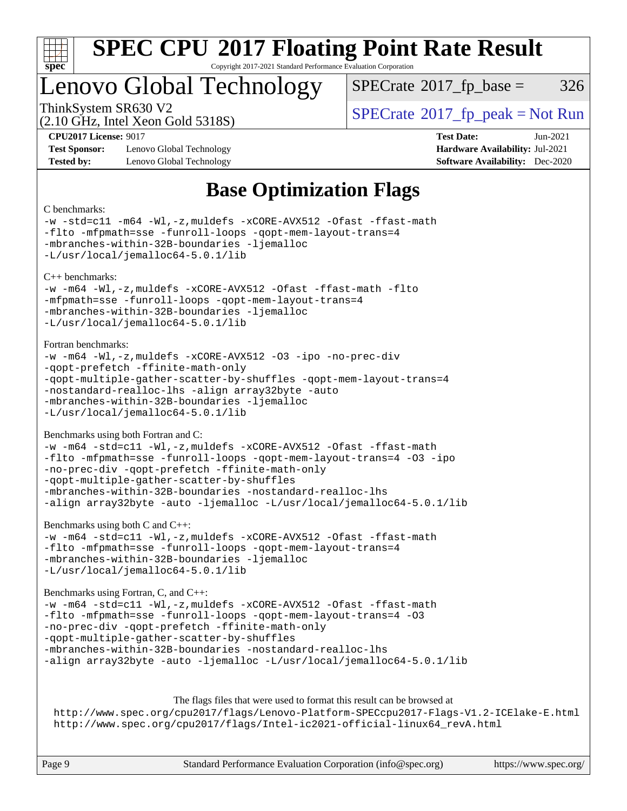

Copyright 2017-2021 Standard Performance Evaluation Corporation

### Lenovo Global Technology

 $SPECTate@2017<sub>fp</sub> base =  $326$$ 

(2.10 GHz, Intel Xeon Gold 5318S)

ThinkSystem SR630 V2<br>  $\begin{array}{c} \text{SPECrate} \textcircled{2017} \text{ fp\_peak} = \text{Not Run} \end{array}$  $\begin{array}{c} \text{SPECrate} \textcircled{2017} \text{ fp\_peak} = \text{Not Run} \end{array}$  $\begin{array}{c} \text{SPECrate} \textcircled{2017} \text{ fp\_peak} = \text{Not Run} \end{array}$ 

**[Test Sponsor:](http://www.spec.org/auto/cpu2017/Docs/result-fields.html#TestSponsor)** Lenovo Global Technology **[Hardware Availability:](http://www.spec.org/auto/cpu2017/Docs/result-fields.html#HardwareAvailability)** Jul-2021 **[Tested by:](http://www.spec.org/auto/cpu2017/Docs/result-fields.html#Testedby)** Lenovo Global Technology **[Software Availability:](http://www.spec.org/auto/cpu2017/Docs/result-fields.html#SoftwareAvailability)** Dec-2020

**[CPU2017 License:](http://www.spec.org/auto/cpu2017/Docs/result-fields.html#CPU2017License)** 9017 **[Test Date:](http://www.spec.org/auto/cpu2017/Docs/result-fields.html#TestDate)** Jun-2021

### **[Base Optimization Flags](http://www.spec.org/auto/cpu2017/Docs/result-fields.html#BaseOptimizationFlags)**

#### [C benchmarks](http://www.spec.org/auto/cpu2017/Docs/result-fields.html#Cbenchmarks): [-w](http://www.spec.org/cpu2017/results/res2021q3/cpu2017-20210705-28050.flags.html#user_CCbase_supress_warning_66fb2c4e5c1dd10f38bdd29623979399e5ae75ae6e5453792d82ef66afed381df4a8602f92cac8d2ea0fffa7b93b4b1ccb9ecad4af01c9b2fe338b2082ae3859) [-std=c11](http://www.spec.org/cpu2017/results/res2021q3/cpu2017-20210705-28050.flags.html#user_CCbase_std-icc-std_0e1c27790398a4642dfca32ffe6c27b5796f9c2d2676156f2e42c9c44eaad0c049b1cdb667a270c34d979996257aeb8fc440bfb01818dbc9357bd9d174cb8524) [-m64](http://www.spec.org/cpu2017/results/res2021q3/cpu2017-20210705-28050.flags.html#user_CCbase_m64-icc) [-Wl,-z,muldefs](http://www.spec.org/cpu2017/results/res2021q3/cpu2017-20210705-28050.flags.html#user_CCbase_link_force_multiple1_b4cbdb97b34bdee9ceefcfe54f4c8ea74255f0b02a4b23e853cdb0e18eb4525ac79b5a88067c842dd0ee6996c24547a27a4b99331201badda8798ef8a743f577) [-xCORE-AVX512](http://www.spec.org/cpu2017/results/res2021q3/cpu2017-20210705-28050.flags.html#user_CCbase_f-xCORE-AVX512) [-Ofast](http://www.spec.org/cpu2017/results/res2021q3/cpu2017-20210705-28050.flags.html#user_CCbase_f-Ofast) [-ffast-math](http://www.spec.org/cpu2017/results/res2021q3/cpu2017-20210705-28050.flags.html#user_CCbase_f-ffast-math) [-flto](http://www.spec.org/cpu2017/results/res2021q3/cpu2017-20210705-28050.flags.html#user_CCbase_f-flto) [-mfpmath=sse](http://www.spec.org/cpu2017/results/res2021q3/cpu2017-20210705-28050.flags.html#user_CCbase_f-mfpmath_70eb8fac26bde974f8ab713bc9086c5621c0b8d2f6c86f38af0bd7062540daf19db5f3a066d8c6684be05d84c9b6322eb3b5be6619d967835195b93d6c02afa1) [-funroll-loops](http://www.spec.org/cpu2017/results/res2021q3/cpu2017-20210705-28050.flags.html#user_CCbase_f-funroll-loops) [-qopt-mem-layout-trans=4](http://www.spec.org/cpu2017/results/res2021q3/cpu2017-20210705-28050.flags.html#user_CCbase_f-qopt-mem-layout-trans_fa39e755916c150a61361b7846f310bcdf6f04e385ef281cadf3647acec3f0ae266d1a1d22d972a7087a248fd4e6ca390a3634700869573d231a252c784941a8) [-mbranches-within-32B-boundaries](http://www.spec.org/cpu2017/results/res2021q3/cpu2017-20210705-28050.flags.html#user_CCbase_f-mbranches-within-32B-boundaries) [-ljemalloc](http://www.spec.org/cpu2017/results/res2021q3/cpu2017-20210705-28050.flags.html#user_CCbase_jemalloc_link_lib_d1249b907c500fa1c0672f44f562e3d0f79738ae9e3c4a9c376d49f265a04b9c99b167ecedbf6711b3085be911c67ff61f150a17b3472be731631ba4d0471706) [-L/usr/local/jemalloc64-5.0.1/lib](http://www.spec.org/cpu2017/results/res2021q3/cpu2017-20210705-28050.flags.html#user_CCbase_jemalloc_link_path64_1_cc289568b1a6c0fd3b62c91b824c27fcb5af5e8098e6ad028160d21144ef1b8aef3170d2acf0bee98a8da324cfe4f67d0a3d0c4cc4673d993d694dc2a0df248b) [C++ benchmarks](http://www.spec.org/auto/cpu2017/Docs/result-fields.html#CXXbenchmarks): [-w](http://www.spec.org/cpu2017/results/res2021q3/cpu2017-20210705-28050.flags.html#user_CXXbase_supress_warning_66fb2c4e5c1dd10f38bdd29623979399e5ae75ae6e5453792d82ef66afed381df4a8602f92cac8d2ea0fffa7b93b4b1ccb9ecad4af01c9b2fe338b2082ae3859) [-m64](http://www.spec.org/cpu2017/results/res2021q3/cpu2017-20210705-28050.flags.html#user_CXXbase_m64-icc) [-Wl,-z,muldefs](http://www.spec.org/cpu2017/results/res2021q3/cpu2017-20210705-28050.flags.html#user_CXXbase_link_force_multiple1_b4cbdb97b34bdee9ceefcfe54f4c8ea74255f0b02a4b23e853cdb0e18eb4525ac79b5a88067c842dd0ee6996c24547a27a4b99331201badda8798ef8a743f577) [-xCORE-AVX512](http://www.spec.org/cpu2017/results/res2021q3/cpu2017-20210705-28050.flags.html#user_CXXbase_f-xCORE-AVX512) [-Ofast](http://www.spec.org/cpu2017/results/res2021q3/cpu2017-20210705-28050.flags.html#user_CXXbase_f-Ofast) [-ffast-math](http://www.spec.org/cpu2017/results/res2021q3/cpu2017-20210705-28050.flags.html#user_CXXbase_f-ffast-math) [-flto](http://www.spec.org/cpu2017/results/res2021q3/cpu2017-20210705-28050.flags.html#user_CXXbase_f-flto) [-mfpmath=sse](http://www.spec.org/cpu2017/results/res2021q3/cpu2017-20210705-28050.flags.html#user_CXXbase_f-mfpmath_70eb8fac26bde974f8ab713bc9086c5621c0b8d2f6c86f38af0bd7062540daf19db5f3a066d8c6684be05d84c9b6322eb3b5be6619d967835195b93d6c02afa1) [-funroll-loops](http://www.spec.org/cpu2017/results/res2021q3/cpu2017-20210705-28050.flags.html#user_CXXbase_f-funroll-loops) [-qopt-mem-layout-trans=4](http://www.spec.org/cpu2017/results/res2021q3/cpu2017-20210705-28050.flags.html#user_CXXbase_f-qopt-mem-layout-trans_fa39e755916c150a61361b7846f310bcdf6f04e385ef281cadf3647acec3f0ae266d1a1d22d972a7087a248fd4e6ca390a3634700869573d231a252c784941a8) [-mbranches-within-32B-boundaries](http://www.spec.org/cpu2017/results/res2021q3/cpu2017-20210705-28050.flags.html#user_CXXbase_f-mbranches-within-32B-boundaries) [-ljemalloc](http://www.spec.org/cpu2017/results/res2021q3/cpu2017-20210705-28050.flags.html#user_CXXbase_jemalloc_link_lib_d1249b907c500fa1c0672f44f562e3d0f79738ae9e3c4a9c376d49f265a04b9c99b167ecedbf6711b3085be911c67ff61f150a17b3472be731631ba4d0471706) [-L/usr/local/jemalloc64-5.0.1/lib](http://www.spec.org/cpu2017/results/res2021q3/cpu2017-20210705-28050.flags.html#user_CXXbase_jemalloc_link_path64_1_cc289568b1a6c0fd3b62c91b824c27fcb5af5e8098e6ad028160d21144ef1b8aef3170d2acf0bee98a8da324cfe4f67d0a3d0c4cc4673d993d694dc2a0df248b) [Fortran benchmarks:](http://www.spec.org/auto/cpu2017/Docs/result-fields.html#Fortranbenchmarks) [-w](http://www.spec.org/cpu2017/results/res2021q3/cpu2017-20210705-28050.flags.html#user_FCbase_supress_warning_66fb2c4e5c1dd10f38bdd29623979399e5ae75ae6e5453792d82ef66afed381df4a8602f92cac8d2ea0fffa7b93b4b1ccb9ecad4af01c9b2fe338b2082ae3859) [-m64](http://www.spec.org/cpu2017/results/res2021q3/cpu2017-20210705-28050.flags.html#user_FCbase_m64-icc) [-Wl,-z,muldefs](http://www.spec.org/cpu2017/results/res2021q3/cpu2017-20210705-28050.flags.html#user_FCbase_link_force_multiple1_b4cbdb97b34bdee9ceefcfe54f4c8ea74255f0b02a4b23e853cdb0e18eb4525ac79b5a88067c842dd0ee6996c24547a27a4b99331201badda8798ef8a743f577) [-xCORE-AVX512](http://www.spec.org/cpu2017/results/res2021q3/cpu2017-20210705-28050.flags.html#user_FCbase_f-xCORE-AVX512) [-O3](http://www.spec.org/cpu2017/results/res2021q3/cpu2017-20210705-28050.flags.html#user_FCbase_f-O3) [-ipo](http://www.spec.org/cpu2017/results/res2021q3/cpu2017-20210705-28050.flags.html#user_FCbase_f-ipo) [-no-prec-div](http://www.spec.org/cpu2017/results/res2021q3/cpu2017-20210705-28050.flags.html#user_FCbase_f-no-prec-div) [-qopt-prefetch](http://www.spec.org/cpu2017/results/res2021q3/cpu2017-20210705-28050.flags.html#user_FCbase_f-qopt-prefetch) [-ffinite-math-only](http://www.spec.org/cpu2017/results/res2021q3/cpu2017-20210705-28050.flags.html#user_FCbase_f_finite_math_only_cb91587bd2077682c4b38af759c288ed7c732db004271a9512da14a4f8007909a5f1427ecbf1a0fb78ff2a814402c6114ac565ca162485bbcae155b5e4258871) [-qopt-multiple-gather-scatter-by-shuffles](http://www.spec.org/cpu2017/results/res2021q3/cpu2017-20210705-28050.flags.html#user_FCbase_f-qopt-multiple-gather-scatter-by-shuffles) [-qopt-mem-layout-trans=4](http://www.spec.org/cpu2017/results/res2021q3/cpu2017-20210705-28050.flags.html#user_FCbase_f-qopt-mem-layout-trans_fa39e755916c150a61361b7846f310bcdf6f04e385ef281cadf3647acec3f0ae266d1a1d22d972a7087a248fd4e6ca390a3634700869573d231a252c784941a8) [-nostandard-realloc-lhs](http://www.spec.org/cpu2017/results/res2021q3/cpu2017-20210705-28050.flags.html#user_FCbase_f_2003_std_realloc_82b4557e90729c0f113870c07e44d33d6f5a304b4f63d4c15d2d0f1fab99f5daaed73bdb9275d9ae411527f28b936061aa8b9c8f2d63842963b95c9dd6426b8a) [-align array32byte](http://www.spec.org/cpu2017/results/res2021q3/cpu2017-20210705-28050.flags.html#user_FCbase_align_array32byte_b982fe038af199962ba9a80c053b8342c548c85b40b8e86eb3cc33dee0d7986a4af373ac2d51c3f7cf710a18d62fdce2948f201cd044323541f22fc0fffc51b6) [-auto](http://www.spec.org/cpu2017/results/res2021q3/cpu2017-20210705-28050.flags.html#user_FCbase_f-auto) [-mbranches-within-32B-boundaries](http://www.spec.org/cpu2017/results/res2021q3/cpu2017-20210705-28050.flags.html#user_FCbase_f-mbranches-within-32B-boundaries) [-ljemalloc](http://www.spec.org/cpu2017/results/res2021q3/cpu2017-20210705-28050.flags.html#user_FCbase_jemalloc_link_lib_d1249b907c500fa1c0672f44f562e3d0f79738ae9e3c4a9c376d49f265a04b9c99b167ecedbf6711b3085be911c67ff61f150a17b3472be731631ba4d0471706) [-L/usr/local/jemalloc64-5.0.1/lib](http://www.spec.org/cpu2017/results/res2021q3/cpu2017-20210705-28050.flags.html#user_FCbase_jemalloc_link_path64_1_cc289568b1a6c0fd3b62c91b824c27fcb5af5e8098e6ad028160d21144ef1b8aef3170d2acf0bee98a8da324cfe4f67d0a3d0c4cc4673d993d694dc2a0df248b) [Benchmarks using both Fortran and C](http://www.spec.org/auto/cpu2017/Docs/result-fields.html#BenchmarksusingbothFortranandC): [-w](http://www.spec.org/cpu2017/results/res2021q3/cpu2017-20210705-28050.flags.html#user_CC_FCbase_supress_warning_66fb2c4e5c1dd10f38bdd29623979399e5ae75ae6e5453792d82ef66afed381df4a8602f92cac8d2ea0fffa7b93b4b1ccb9ecad4af01c9b2fe338b2082ae3859) [-m64](http://www.spec.org/cpu2017/results/res2021q3/cpu2017-20210705-28050.flags.html#user_CC_FCbase_m64-icc) [-std=c11](http://www.spec.org/cpu2017/results/res2021q3/cpu2017-20210705-28050.flags.html#user_CC_FCbase_std-icc-std_0e1c27790398a4642dfca32ffe6c27b5796f9c2d2676156f2e42c9c44eaad0c049b1cdb667a270c34d979996257aeb8fc440bfb01818dbc9357bd9d174cb8524) [-Wl,-z,muldefs](http://www.spec.org/cpu2017/results/res2021q3/cpu2017-20210705-28050.flags.html#user_CC_FCbase_link_force_multiple1_b4cbdb97b34bdee9ceefcfe54f4c8ea74255f0b02a4b23e853cdb0e18eb4525ac79b5a88067c842dd0ee6996c24547a27a4b99331201badda8798ef8a743f577) [-xCORE-AVX512](http://www.spec.org/cpu2017/results/res2021q3/cpu2017-20210705-28050.flags.html#user_CC_FCbase_f-xCORE-AVX512) [-Ofast](http://www.spec.org/cpu2017/results/res2021q3/cpu2017-20210705-28050.flags.html#user_CC_FCbase_f-Ofast) [-ffast-math](http://www.spec.org/cpu2017/results/res2021q3/cpu2017-20210705-28050.flags.html#user_CC_FCbase_f-ffast-math) [-flto](http://www.spec.org/cpu2017/results/res2021q3/cpu2017-20210705-28050.flags.html#user_CC_FCbase_f-flto) [-mfpmath=sse](http://www.spec.org/cpu2017/results/res2021q3/cpu2017-20210705-28050.flags.html#user_CC_FCbase_f-mfpmath_70eb8fac26bde974f8ab713bc9086c5621c0b8d2f6c86f38af0bd7062540daf19db5f3a066d8c6684be05d84c9b6322eb3b5be6619d967835195b93d6c02afa1) [-funroll-loops](http://www.spec.org/cpu2017/results/res2021q3/cpu2017-20210705-28050.flags.html#user_CC_FCbase_f-funroll-loops) [-qopt-mem-layout-trans=4](http://www.spec.org/cpu2017/results/res2021q3/cpu2017-20210705-28050.flags.html#user_CC_FCbase_f-qopt-mem-layout-trans_fa39e755916c150a61361b7846f310bcdf6f04e385ef281cadf3647acec3f0ae266d1a1d22d972a7087a248fd4e6ca390a3634700869573d231a252c784941a8) [-O3](http://www.spec.org/cpu2017/results/res2021q3/cpu2017-20210705-28050.flags.html#user_CC_FCbase_f-O3) [-ipo](http://www.spec.org/cpu2017/results/res2021q3/cpu2017-20210705-28050.flags.html#user_CC_FCbase_f-ipo) [-no-prec-div](http://www.spec.org/cpu2017/results/res2021q3/cpu2017-20210705-28050.flags.html#user_CC_FCbase_f-no-prec-div) [-qopt-prefetch](http://www.spec.org/cpu2017/results/res2021q3/cpu2017-20210705-28050.flags.html#user_CC_FCbase_f-qopt-prefetch) [-ffinite-math-only](http://www.spec.org/cpu2017/results/res2021q3/cpu2017-20210705-28050.flags.html#user_CC_FCbase_f_finite_math_only_cb91587bd2077682c4b38af759c288ed7c732db004271a9512da14a4f8007909a5f1427ecbf1a0fb78ff2a814402c6114ac565ca162485bbcae155b5e4258871) [-qopt-multiple-gather-scatter-by-shuffles](http://www.spec.org/cpu2017/results/res2021q3/cpu2017-20210705-28050.flags.html#user_CC_FCbase_f-qopt-multiple-gather-scatter-by-shuffles) [-mbranches-within-32B-boundaries](http://www.spec.org/cpu2017/results/res2021q3/cpu2017-20210705-28050.flags.html#user_CC_FCbase_f-mbranches-within-32B-boundaries) [-nostandard-realloc-lhs](http://www.spec.org/cpu2017/results/res2021q3/cpu2017-20210705-28050.flags.html#user_CC_FCbase_f_2003_std_realloc_82b4557e90729c0f113870c07e44d33d6f5a304b4f63d4c15d2d0f1fab99f5daaed73bdb9275d9ae411527f28b936061aa8b9c8f2d63842963b95c9dd6426b8a) [-align array32byte](http://www.spec.org/cpu2017/results/res2021q3/cpu2017-20210705-28050.flags.html#user_CC_FCbase_align_array32byte_b982fe038af199962ba9a80c053b8342c548c85b40b8e86eb3cc33dee0d7986a4af373ac2d51c3f7cf710a18d62fdce2948f201cd044323541f22fc0fffc51b6) [-auto](http://www.spec.org/cpu2017/results/res2021q3/cpu2017-20210705-28050.flags.html#user_CC_FCbase_f-auto) [-ljemalloc](http://www.spec.org/cpu2017/results/res2021q3/cpu2017-20210705-28050.flags.html#user_CC_FCbase_jemalloc_link_lib_d1249b907c500fa1c0672f44f562e3d0f79738ae9e3c4a9c376d49f265a04b9c99b167ecedbf6711b3085be911c67ff61f150a17b3472be731631ba4d0471706) [-L/usr/local/jemalloc64-5.0.1/lib](http://www.spec.org/cpu2017/results/res2021q3/cpu2017-20210705-28050.flags.html#user_CC_FCbase_jemalloc_link_path64_1_cc289568b1a6c0fd3b62c91b824c27fcb5af5e8098e6ad028160d21144ef1b8aef3170d2acf0bee98a8da324cfe4f67d0a3d0c4cc4673d993d694dc2a0df248b) [Benchmarks using both C and C++:](http://www.spec.org/auto/cpu2017/Docs/result-fields.html#BenchmarksusingbothCandCXX) [-w](http://www.spec.org/cpu2017/results/res2021q3/cpu2017-20210705-28050.flags.html#user_CC_CXXbase_supress_warning_66fb2c4e5c1dd10f38bdd29623979399e5ae75ae6e5453792d82ef66afed381df4a8602f92cac8d2ea0fffa7b93b4b1ccb9ecad4af01c9b2fe338b2082ae3859) [-m64](http://www.spec.org/cpu2017/results/res2021q3/cpu2017-20210705-28050.flags.html#user_CC_CXXbase_m64-icc) [-std=c11](http://www.spec.org/cpu2017/results/res2021q3/cpu2017-20210705-28050.flags.html#user_CC_CXXbase_std-icc-std_0e1c27790398a4642dfca32ffe6c27b5796f9c2d2676156f2e42c9c44eaad0c049b1cdb667a270c34d979996257aeb8fc440bfb01818dbc9357bd9d174cb8524) [-Wl,-z,muldefs](http://www.spec.org/cpu2017/results/res2021q3/cpu2017-20210705-28050.flags.html#user_CC_CXXbase_link_force_multiple1_b4cbdb97b34bdee9ceefcfe54f4c8ea74255f0b02a4b23e853cdb0e18eb4525ac79b5a88067c842dd0ee6996c24547a27a4b99331201badda8798ef8a743f577) [-xCORE-AVX512](http://www.spec.org/cpu2017/results/res2021q3/cpu2017-20210705-28050.flags.html#user_CC_CXXbase_f-xCORE-AVX512) [-Ofast](http://www.spec.org/cpu2017/results/res2021q3/cpu2017-20210705-28050.flags.html#user_CC_CXXbase_f-Ofast) [-ffast-math](http://www.spec.org/cpu2017/results/res2021q3/cpu2017-20210705-28050.flags.html#user_CC_CXXbase_f-ffast-math) [-flto](http://www.spec.org/cpu2017/results/res2021q3/cpu2017-20210705-28050.flags.html#user_CC_CXXbase_f-flto) [-mfpmath=sse](http://www.spec.org/cpu2017/results/res2021q3/cpu2017-20210705-28050.flags.html#user_CC_CXXbase_f-mfpmath_70eb8fac26bde974f8ab713bc9086c5621c0b8d2f6c86f38af0bd7062540daf19db5f3a066d8c6684be05d84c9b6322eb3b5be6619d967835195b93d6c02afa1) [-funroll-loops](http://www.spec.org/cpu2017/results/res2021q3/cpu2017-20210705-28050.flags.html#user_CC_CXXbase_f-funroll-loops) [-qopt-mem-layout-trans=4](http://www.spec.org/cpu2017/results/res2021q3/cpu2017-20210705-28050.flags.html#user_CC_CXXbase_f-qopt-mem-layout-trans_fa39e755916c150a61361b7846f310bcdf6f04e385ef281cadf3647acec3f0ae266d1a1d22d972a7087a248fd4e6ca390a3634700869573d231a252c784941a8) [-mbranches-within-32B-boundaries](http://www.spec.org/cpu2017/results/res2021q3/cpu2017-20210705-28050.flags.html#user_CC_CXXbase_f-mbranches-within-32B-boundaries) [-ljemalloc](http://www.spec.org/cpu2017/results/res2021q3/cpu2017-20210705-28050.flags.html#user_CC_CXXbase_jemalloc_link_lib_d1249b907c500fa1c0672f44f562e3d0f79738ae9e3c4a9c376d49f265a04b9c99b167ecedbf6711b3085be911c67ff61f150a17b3472be731631ba4d0471706) [-L/usr/local/jemalloc64-5.0.1/lib](http://www.spec.org/cpu2017/results/res2021q3/cpu2017-20210705-28050.flags.html#user_CC_CXXbase_jemalloc_link_path64_1_cc289568b1a6c0fd3b62c91b824c27fcb5af5e8098e6ad028160d21144ef1b8aef3170d2acf0bee98a8da324cfe4f67d0a3d0c4cc4673d993d694dc2a0df248b) [Benchmarks using Fortran, C, and C++](http://www.spec.org/auto/cpu2017/Docs/result-fields.html#BenchmarksusingFortranCandCXX): [-w](http://www.spec.org/cpu2017/results/res2021q3/cpu2017-20210705-28050.flags.html#user_CC_CXX_FCbase_supress_warning_66fb2c4e5c1dd10f38bdd29623979399e5ae75ae6e5453792d82ef66afed381df4a8602f92cac8d2ea0fffa7b93b4b1ccb9ecad4af01c9b2fe338b2082ae3859) [-m64](http://www.spec.org/cpu2017/results/res2021q3/cpu2017-20210705-28050.flags.html#user_CC_CXX_FCbase_m64-icc) [-std=c11](http://www.spec.org/cpu2017/results/res2021q3/cpu2017-20210705-28050.flags.html#user_CC_CXX_FCbase_std-icc-std_0e1c27790398a4642dfca32ffe6c27b5796f9c2d2676156f2e42c9c44eaad0c049b1cdb667a270c34d979996257aeb8fc440bfb01818dbc9357bd9d174cb8524) [-Wl,-z,muldefs](http://www.spec.org/cpu2017/results/res2021q3/cpu2017-20210705-28050.flags.html#user_CC_CXX_FCbase_link_force_multiple1_b4cbdb97b34bdee9ceefcfe54f4c8ea74255f0b02a4b23e853cdb0e18eb4525ac79b5a88067c842dd0ee6996c24547a27a4b99331201badda8798ef8a743f577) [-xCORE-AVX512](http://www.spec.org/cpu2017/results/res2021q3/cpu2017-20210705-28050.flags.html#user_CC_CXX_FCbase_f-xCORE-AVX512) [-Ofast](http://www.spec.org/cpu2017/results/res2021q3/cpu2017-20210705-28050.flags.html#user_CC_CXX_FCbase_f-Ofast) [-ffast-math](http://www.spec.org/cpu2017/results/res2021q3/cpu2017-20210705-28050.flags.html#user_CC_CXX_FCbase_f-ffast-math) [-flto](http://www.spec.org/cpu2017/results/res2021q3/cpu2017-20210705-28050.flags.html#user_CC_CXX_FCbase_f-flto) [-mfpmath=sse](http://www.spec.org/cpu2017/results/res2021q3/cpu2017-20210705-28050.flags.html#user_CC_CXX_FCbase_f-mfpmath_70eb8fac26bde974f8ab713bc9086c5621c0b8d2f6c86f38af0bd7062540daf19db5f3a066d8c6684be05d84c9b6322eb3b5be6619d967835195b93d6c02afa1) [-funroll-loops](http://www.spec.org/cpu2017/results/res2021q3/cpu2017-20210705-28050.flags.html#user_CC_CXX_FCbase_f-funroll-loops) [-qopt-mem-layout-trans=4](http://www.spec.org/cpu2017/results/res2021q3/cpu2017-20210705-28050.flags.html#user_CC_CXX_FCbase_f-qopt-mem-layout-trans_fa39e755916c150a61361b7846f310bcdf6f04e385ef281cadf3647acec3f0ae266d1a1d22d972a7087a248fd4e6ca390a3634700869573d231a252c784941a8) [-O3](http://www.spec.org/cpu2017/results/res2021q3/cpu2017-20210705-28050.flags.html#user_CC_CXX_FCbase_f-O3) [-no-prec-div](http://www.spec.org/cpu2017/results/res2021q3/cpu2017-20210705-28050.flags.html#user_CC_CXX_FCbase_f-no-prec-div) [-qopt-prefetch](http://www.spec.org/cpu2017/results/res2021q3/cpu2017-20210705-28050.flags.html#user_CC_CXX_FCbase_f-qopt-prefetch) [-ffinite-math-only](http://www.spec.org/cpu2017/results/res2021q3/cpu2017-20210705-28050.flags.html#user_CC_CXX_FCbase_f_finite_math_only_cb91587bd2077682c4b38af759c288ed7c732db004271a9512da14a4f8007909a5f1427ecbf1a0fb78ff2a814402c6114ac565ca162485bbcae155b5e4258871) [-qopt-multiple-gather-scatter-by-shuffles](http://www.spec.org/cpu2017/results/res2021q3/cpu2017-20210705-28050.flags.html#user_CC_CXX_FCbase_f-qopt-multiple-gather-scatter-by-shuffles) [-mbranches-within-32B-boundaries](http://www.spec.org/cpu2017/results/res2021q3/cpu2017-20210705-28050.flags.html#user_CC_CXX_FCbase_f-mbranches-within-32B-boundaries) [-nostandard-realloc-lhs](http://www.spec.org/cpu2017/results/res2021q3/cpu2017-20210705-28050.flags.html#user_CC_CXX_FCbase_f_2003_std_realloc_82b4557e90729c0f113870c07e44d33d6f5a304b4f63d4c15d2d0f1fab99f5daaed73bdb9275d9ae411527f28b936061aa8b9c8f2d63842963b95c9dd6426b8a) [-align array32byte](http://www.spec.org/cpu2017/results/res2021q3/cpu2017-20210705-28050.flags.html#user_CC_CXX_FCbase_align_array32byte_b982fe038af199962ba9a80c053b8342c548c85b40b8e86eb3cc33dee0d7986a4af373ac2d51c3f7cf710a18d62fdce2948f201cd044323541f22fc0fffc51b6) [-auto](http://www.spec.org/cpu2017/results/res2021q3/cpu2017-20210705-28050.flags.html#user_CC_CXX_FCbase_f-auto) [-ljemalloc](http://www.spec.org/cpu2017/results/res2021q3/cpu2017-20210705-28050.flags.html#user_CC_CXX_FCbase_jemalloc_link_lib_d1249b907c500fa1c0672f44f562e3d0f79738ae9e3c4a9c376d49f265a04b9c99b167ecedbf6711b3085be911c67ff61f150a17b3472be731631ba4d0471706) [-L/usr/local/jemalloc64-5.0.1/lib](http://www.spec.org/cpu2017/results/res2021q3/cpu2017-20210705-28050.flags.html#user_CC_CXX_FCbase_jemalloc_link_path64_1_cc289568b1a6c0fd3b62c91b824c27fcb5af5e8098e6ad028160d21144ef1b8aef3170d2acf0bee98a8da324cfe4f67d0a3d0c4cc4673d993d694dc2a0df248b) [The flags files that were used to format this result can be browsed at](tmsearch) <http://www.spec.org/cpu2017/flags/Lenovo-Platform-SPECcpu2017-Flags-V1.2-ICElake-E.html> [http://www.spec.org/cpu2017/flags/Intel-ic2021-official-linux64\\_revA.html](http://www.spec.org/cpu2017/flags/Intel-ic2021-official-linux64_revA.html)